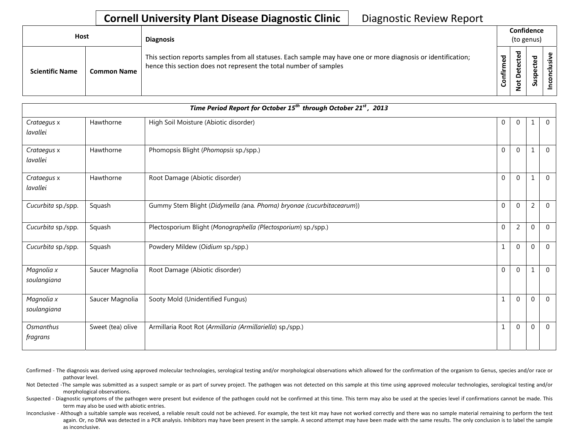## **Cornell University Plant Disease Diagnostic Clinic** | Diagnostic Review Report

| Host                   |                    | <b>Diagnosis</b>                                                                                                                                                                   |                       | Confidence<br>(to genus)              |                       |  |
|------------------------|--------------------|------------------------------------------------------------------------------------------------------------------------------------------------------------------------------------|-----------------------|---------------------------------------|-----------------------|--|
| <b>Scientific Name</b> | <b>Common Name</b> | This section reports samples from all statuses. Each sample may have one or more diagnosis or identification;<br>hence this section does not represent the total number of samples | ъ<br>Ē<br>È<br>ō<br>ت | ᅙ<br>ق<br>ن<br>ق<br>Φ<br>۵<br>ىد<br>ۅ | ਠ<br>ق<br>௨<br>⊻<br>S |  |

|                           | Time Period Report for October 15 <sup>th</sup> through October 21 <sup>st</sup> , 2013 |                                                                      |              |                |                  |                |  |  |  |  |
|---------------------------|-----------------------------------------------------------------------------------------|----------------------------------------------------------------------|--------------|----------------|------------------|----------------|--|--|--|--|
| Crataegus x<br>lavallei   | Hawthorne                                                                               | High Soil Moisture (Abiotic disorder)                                | $\mathbf{0}$ | $\mathbf 0$    | 1                | $\mathbf 0$    |  |  |  |  |
| Crataegus x<br>lavallei   | Hawthorne                                                                               | Phomopsis Blight (Phomopsis sp./spp.)                                | $\Omega$     | $\mathbf 0$    | $\mathbf{1}$     | $\mathbf 0$    |  |  |  |  |
| Crataegus x<br>lavallei   | Hawthorne                                                                               | Root Damage (Abiotic disorder)                                       | $\Omega$     | $\Omega$       | 1                | $\mathbf{0}$   |  |  |  |  |
| Cucurbita sp./spp.        | Squash                                                                                  | Gummy Stem Blight (Didymella (ana. Phoma) bryonae (cucurbitacearum)) | $\Omega$     | $\Omega$       | 2                | $\Omega$       |  |  |  |  |
| Cucurbita sp./spp.        | Squash                                                                                  | Plectosporium Blight (Monographella (Plectosporium) sp./spp.)        | $\Omega$     | $\overline{2}$ | $\mathbf 0$      | $\overline{0}$ |  |  |  |  |
| Cucurbita sp./spp.        | Squash                                                                                  | Powdery Mildew (Oidium sp./spp.)                                     | 1            | $\overline{0}$ | $\mathbf 0$      | $\mathbf 0$    |  |  |  |  |
| Magnolia x<br>soulangiana | Saucer Magnolia                                                                         | Root Damage (Abiotic disorder)                                       | $\Omega$     | $\Omega$       | 1                | $\Omega$       |  |  |  |  |
| Magnolia x<br>soulangiana | Saucer Magnolia                                                                         | Sooty Mold (Unidentified Fungus)                                     | 1            | $\mathbf 0$    | $\boldsymbol{0}$ | $\mathbf 0$    |  |  |  |  |
| Osmanthus<br>fragrans     | Sweet (tea) olive                                                                       | Armillaria Root Rot (Armillaria (Armillariella) sp./spp.)            | $\mathbf{1}$ | $\mathbf 0$    | $\mathbf{0}$     | $\mathbf 0$    |  |  |  |  |

Confirmed - The diagnosis was derived using approved molecular technologies, serological testing and/or morphological observations which allowed for the confirmation of the organism to Genus, species and/or race or pathovar level.

Not Detected -The sample was submitted as a suspect sample or as part of survey project. The pathogen was not detected on this sample at this time using approved molecular technologies, serological testing and/or morphological observations.

Suspected - Diagnostic symptoms of the pathogen were present but evidence of the pathogen could not be confirmed at this time. This term may also be used at the species level if confirmations cannot be made. This term may also be used with abiotic entries.

Inconclusive - Although a suitable sample was received, a reliable result could not be achieved. For example, the test kit may have not worked correctly and there was no sample material remaining to perform the test again. Or, no DNA was detected in a PCR analysis. Inhibitors may have been present in the sample. A second attempt may have been made with the same results. The only conclusion is to label the sample as inconclusive.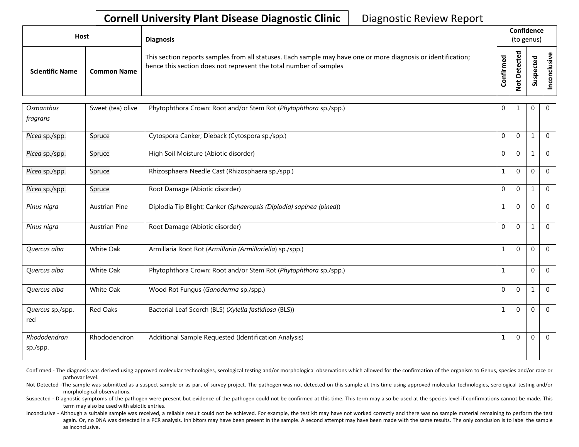## **Cornell University Plant Disease Diagnostic Clinic** | Diagnostic Review Report

| <b>Host</b>            |                    | <b>Diagnosis</b>                                                                                                                                                                   |                 | Confidence<br>(to genus)                      |                                                     |  |
|------------------------|--------------------|------------------------------------------------------------------------------------------------------------------------------------------------------------------------------------|-----------------|-----------------------------------------------|-----------------------------------------------------|--|
| <b>Scientific Name</b> | <b>Common Name</b> | This section reports samples from all statuses. Each sample may have one or more diagnosis or identification;<br>hence this section does not represent the total number of samples | ᄝ<br>Ē<br>onfir | ᇴ<br>cte<br>Φ<br>ã<br>۵<br>پ<br>$\frac{9}{5}$ | ठ<br>요<br>ن<br>$\mathbf \omega$<br>௨<br>ഗ<br>ے<br>S |  |

| Osmanthus<br>fragrans    | Sweet (tea) olive    | Phytophthora Crown: Root and/or Stem Rot (Phytophthora sp./spp.)     | $\mathbf{0}$ | 1              | $\mathbf 0$  | $\overline{0}$ |
|--------------------------|----------------------|----------------------------------------------------------------------|--------------|----------------|--------------|----------------|
|                          |                      |                                                                      |              |                |              |                |
| Picea sp./spp.           | Spruce               | Cytospora Canker; Dieback (Cytospora sp./spp.)                       | $\mathbf{0}$ | $\overline{0}$ | 1            | $\overline{0}$ |
| Picea sp./spp.           | Spruce               | High Soil Moisture (Abiotic disorder)                                | $\mathbf{0}$ | $\overline{0}$ | 1            | $\overline{0}$ |
| Picea sp./spp.           | Spruce               | Rhizosphaera Needle Cast (Rhizosphaera sp./spp.)                     |              | $\overline{0}$ | $\Omega$     | $\overline{0}$ |
| Picea sp./spp.           | Spruce               | Root Damage (Abiotic disorder)                                       | $\mathbf{0}$ | $\overline{0}$ | 1            | $\overline{0}$ |
| Pinus nigra              | <b>Austrian Pine</b> | Diplodia Tip Blight; Canker (Sphaeropsis (Diplodia) sapinea (pinea)) |              | $\mathbf{0}$   | $\Omega$     | $\overline{0}$ |
| Pinus nigra              | <b>Austrian Pine</b> | Root Damage (Abiotic disorder)                                       | $\mathbf 0$  | $\overline{0}$ | $\mathbf{1}$ | $\overline{0}$ |
| Quercus alba             | White Oak            | Armillaria Root Rot (Armillaria (Armillariella) sp./spp.)            | 1            | 0              | $\Omega$     | $\Omega$       |
| Quercus alba             | White Oak            | Phytophthora Crown: Root and/or Stem Rot (Phytophthora sp./spp.)     | 1            |                | $\theta$     | $\mathbf{0}$   |
| Quercus alba             | White Oak            | Wood Rot Fungus (Ganoderma sp./spp.)                                 | $\mathbf 0$  | $\overline{0}$ | $\mathbf{1}$ | $\overline{0}$ |
| Quercus sp./spp.<br>red  | Red Oaks             | Bacterial Leaf Scorch (BLS) (Xylella fastidiosa (BLS))               |              | $\mathbf{0}$   | $\Omega$     | $\overline{0}$ |
| Rhododendron<br>sp./spp. | Rhododendron         | Additional Sample Requested (Identification Analysis)                |              | $\overline{0}$ | $\Omega$     | $\overline{0}$ |

Confirmed - The diagnosis was derived using approved molecular technologies, serological testing and/or morphological observations which allowed for the confirmation of the organism to Genus, species and/or race or pathovar level.

Not Detected -The sample was submitted as a suspect sample or as part of survey project. The pathogen was not detected on this sample at this time using approved molecular technologies, serological testing and/or morphological observations.

Suspected - Diagnostic symptoms of the pathogen were present but evidence of the pathogen could not be confirmed at this time. This term may also be used at the species level if confirmations cannot be made. This term may also be used with abiotic entries.

Inconclusive - Although a suitable sample was received, a reliable result could not be achieved. For example, the test kit may have not worked correctly and there was no sample material remaining to perform the test again. Or, no DNA was detected in a PCR analysis. Inhibitors may have been present in the sample. A second attempt may have been made with the same results. The only conclusion is to label the sample as inconclusive.